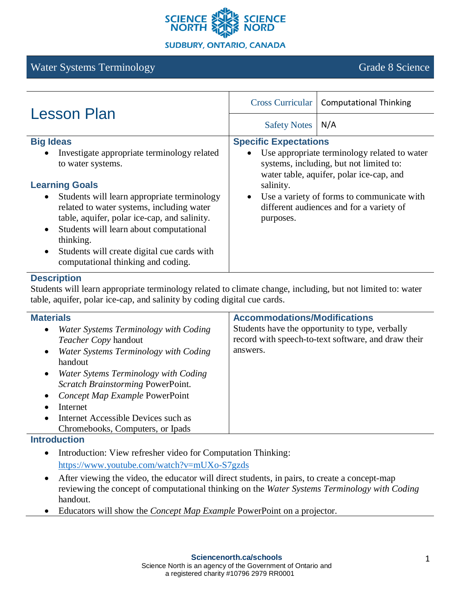

# Water Systems Terminology Grade 8 Science

| <b>Lesson Plan</b>                                                                                                                                                                                                                                                                                                           | <b>Cross Curricular</b>                                                      | <b>Computational Thinking</b>                                                          |
|------------------------------------------------------------------------------------------------------------------------------------------------------------------------------------------------------------------------------------------------------------------------------------------------------------------------------|------------------------------------------------------------------------------|----------------------------------------------------------------------------------------|
|                                                                                                                                                                                                                                                                                                                              | <b>Safety Notes</b>                                                          | N/A                                                                                    |
| <b>Big Ideas</b><br>Investigate appropriate terminology related<br>$\bullet$                                                                                                                                                                                                                                                 | <b>Specific Expectations</b><br>Use appropriate terminology related to water |                                                                                        |
| to water systems.                                                                                                                                                                                                                                                                                                            |                                                                              | systems, including, but not limited to:<br>water table, aquifer, polar ice-cap, and    |
| <b>Learning Goals</b>                                                                                                                                                                                                                                                                                                        | salinity.                                                                    |                                                                                        |
| Students will learn appropriate terminology<br>$\bullet$<br>related to water systems, including water<br>table, aquifer, polar ice-cap, and salinity.<br>Students will learn about computational<br>$\bullet$<br>thinking.<br>Students will create digital cue cards with<br>$\bullet$<br>computational thinking and coding. | $\bullet$<br>purposes.                                                       | Use a variety of forms to communicate with<br>different audiences and for a variety of |

#### **Description**

Students will learn appropriate terminology related to climate change, including, but not limited to: water table, aquifer, polar ice-cap, and salinity by coding digital cue cards.

| <b>Materials</b>                                                                                                                                                                                                                                                                                                                                  | <b>Accommodations/Modifications</b>                                                                                |
|---------------------------------------------------------------------------------------------------------------------------------------------------------------------------------------------------------------------------------------------------------------------------------------------------------------------------------------------------|--------------------------------------------------------------------------------------------------------------------|
| Water Systems Terminology with Coding<br>$\bullet$<br>Teacher Copy handout<br>Water Systems Terminology with Coding<br>$\bullet$<br>handout<br>Water Sytems Terminology with Coding<br>Scratch Brainstorming PowerPoint.<br>Concept Map Example PowerPoint<br>Internet<br>Internet Accessible Devices such as<br>Chromebooks, Computers, or Ipads | Students have the opportunity to type, verbally<br>record with speech-to-text software, and draw their<br>answers. |

## **Introduction**

- Introduction: View refresher video for Computation Thinking: https://www.youtube.com/watch?v=mUXo-S7gzds
- After viewing the video, the educator will direct students, in pairs, to create a concept-map reviewing the concept of computational thinking on the *Water Systems Terminology with Coding* handout.
- Educators will show the *Concept Map Example* PowerPoint on a projector.